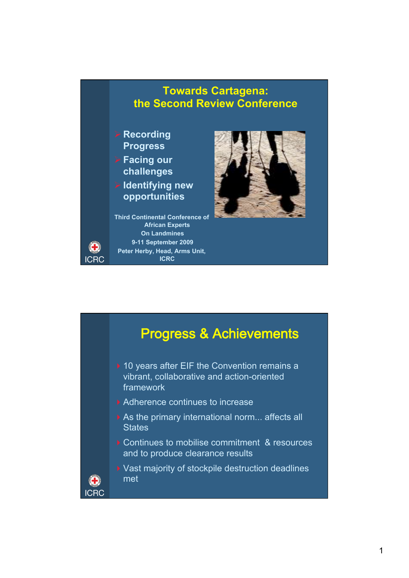

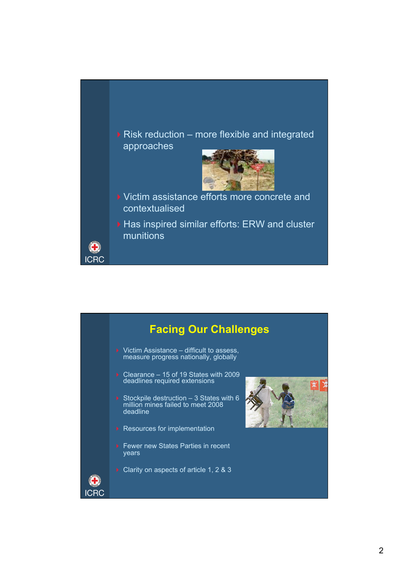